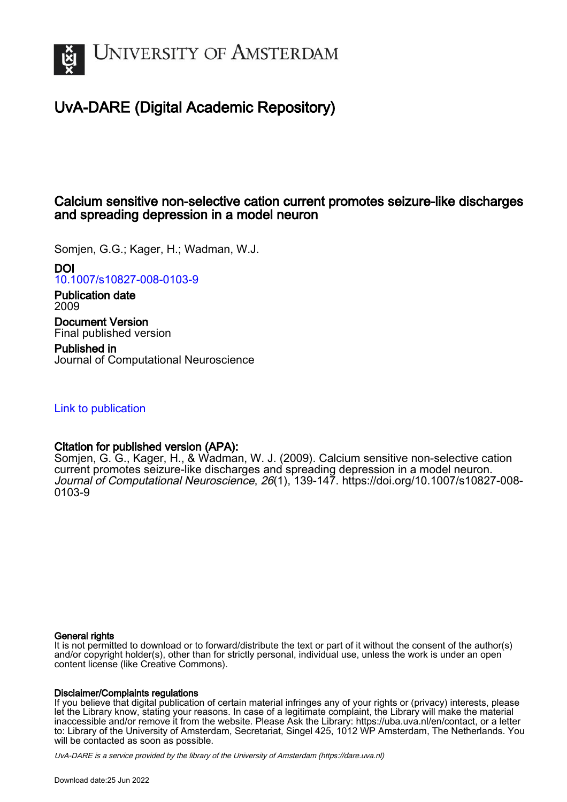

# UvA-DARE (Digital Academic Repository)

## Calcium sensitive non-selective cation current promotes seizure-like discharges and spreading depression in a model neuron

Somjen, G.G.; Kager, H.; Wadman, W.J.

DOI

[10.1007/s10827-008-0103-9](https://doi.org/10.1007/s10827-008-0103-9)

Publication date 2009

Document Version Final published version

Published in Journal of Computational Neuroscience

[Link to publication](https://dare.uva.nl/personal/pure/en/publications/calcium-sensitive-nonselective-cation-current-promotes-seizurelike-discharges-and-spreading-depression-in-a-model-neuron(e2d02c30-6fe7-4650-9726-5f73c6f9f57f).html)

## Citation for published version (APA):

Somjen, G. G., Kager, H., & Wadman, W. J. (2009). Calcium sensitive non-selective cation current promotes seizure-like discharges and spreading depression in a model neuron. Journal of Computational Neuroscience, 26(1), 139-147. [https://doi.org/10.1007/s10827-008-](https://doi.org/10.1007/s10827-008-0103-9) [0103-9](https://doi.org/10.1007/s10827-008-0103-9)

### General rights

It is not permitted to download or to forward/distribute the text or part of it without the consent of the author(s) and/or copyright holder(s), other than for strictly personal, individual use, unless the work is under an open content license (like Creative Commons).

### Disclaimer/Complaints regulations

If you believe that digital publication of certain material infringes any of your rights or (privacy) interests, please let the Library know, stating your reasons. In case of a legitimate complaint, the Library will make the material inaccessible and/or remove it from the website. Please Ask the Library: https://uba.uva.nl/en/contact, or a letter to: Library of the University of Amsterdam, Secretariat, Singel 425, 1012 WP Amsterdam, The Netherlands. You will be contacted as soon as possible.

UvA-DARE is a service provided by the library of the University of Amsterdam (http*s*://dare.uva.nl)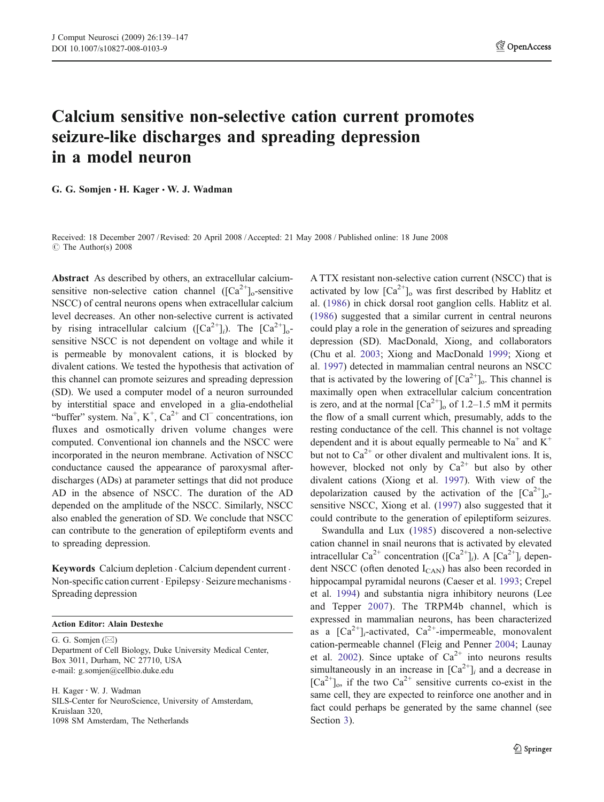# Calcium sensitive non-selective cation current promotes seizure-like discharges and spreading depression in a model neuron

G. G. Somjen · H. Kager · W. J. Wadman

Received: 18 December 2007 /Revised: 20 April 2008 /Accepted: 21 May 2008 / Published online: 18 June 2008  $\circ$  The Author(s) 2008

Abstract As described by others, an extracellular calciumsensitive non-selective cation channel  $([Ca<sup>2+</sup>]_{o}$ -sensitive NSCC) of central neurons opens when extracellular calcium level decreases. An other non-selective current is activated by rising intracellular calcium  $([Ca^{2+}]_i)$ . The  $[Ca^{2+}]_o$ sensitive NSCC is not dependent on voltage and while it is permeable by monovalent cations, it is blocked by divalent cations. We tested the hypothesis that activation of this channel can promote seizures and spreading depression (SD). We used a computer model of a neuron surrounded by interstitial space and enveloped in a glia-endothelial "buffer" system.  $Na^+$ ,  $K^+$ ,  $Ca^{2+}$  and  $Cl^-$  concentrations, ion fluxes and osmotically driven volume changes were computed. Conventional ion channels and the NSCC were incorporated in the neuron membrane. Activation of NSCC conductance caused the appearance of paroxysmal afterdischarges (ADs) at parameter settings that did not produce AD in the absence of NSCC. The duration of the AD depended on the amplitude of the NSCC. Similarly, NSCC also enabled the generation of SD. We conclude that NSCC can contribute to the generation of epileptiform events and to spreading depression.

Keywords Calcium depletion . Calcium dependent current . Non-specific cation current . Epilepsy . Seizure mechanisms. Spreading depression

#### Action Editor: Alain Destexhe

G. G. Somjen (*\**) Department of Cell Biology, Duke University Medical Center, Box 3011, Durham, NC 27710, USA e-mail: g.somjen@cellbio.duke.edu

H. Kager *:* W. J. Wadman SILS-Center for NeuroScience, University of Amsterdam, Kruislaan 320, 1098 SM Amsterdam, The Netherlands

A TTX resistant non-selective cation current (NSCC) that is activated by low  $\lceil Ca^{2+} \rceil$  was first described by Hablitz et al. [\(1986](#page-8-0)) in chick dorsal root ganglion cells. Hablitz et al. [\(1986](#page-8-0)) suggested that a similar current in central neurons could play a role in the generation of seizures and spreading depression (SD). MacDonald, Xiong, and collaborators (Chu et al. [2003](#page-8-0); Xiong and MacDonald [1999](#page-9-0); Xiong et al. [1997\)](#page-9-0) detected in mammalian central neurons an NSCC that is activated by the lowering of  $[Ca^{2+}]_0$ . This channel is maximally open when extracellular calcium concentration is zero, and at the normal  $\lceil Ca^{2+} \rceil$  of 1.2–1.5 mM it permits the flow of a small current which, presumably, adds to the resting conductance of the cell. This channel is not voltage dependent and it is about equally permeable to  $Na<sup>+</sup>$  and  $K<sup>+</sup>$ but not to  $Ca^{2+}$  or other divalent and multivalent ions. It is, however, blocked not only by  $Ca^{2+}$  but also by other divalent cations (Xiong et al. [1997\)](#page-9-0). With view of the depolarization caused by the activation of the  $[Ca^{2+}]_0$ sensitive NSCC, Xiong et al. ([1997\)](#page-9-0) also suggested that it could contribute to the generation of epileptiform seizures.

Swandulla and Lux [\(1985](#page-9-0)) discovered a non-selective cation channel in snail neurons that is activated by elevated intracellular Ca<sup>2+</sup> concentration ([Ca<sup>2+</sup>]<sub>i</sub>). A [Ca<sup>2+</sup>]<sub>i</sub> dependent NSCC (often denoted  $I_{CAN}$ ) has also been recorded in hippocampal pyramidal neurons (Caeser et al. [1993](#page-8-0); Crepel et al. [1994\)](#page-8-0) and substantia nigra inhibitory neurons (Lee and Tepper [2007\)](#page-8-0). The TRPM4b channel, which is expressed in mammalian neurons, has been characterized as a  $[Ca^{2+}]_i$ -activated,  $Ca^{2+}$ -impermeable, monovalent cation-permeable channel (Fleig and Penner [2004](#page-8-0); Launay et al. [2002](#page-8-0)). Since uptake of  $Ca^{2+}$  into neurons results simultaneously in an increase in  $[Ca^{2+}]$ <sub>i</sub> and a decrease in  $[Ca^{2+}]_0$ , if the two  $Ca^{2+}$  sensitive currents co-exist in the same cell, they are expected to reinforce one another and in fact could perhaps be generated by the same channel (see Section [3](#page-6-0)).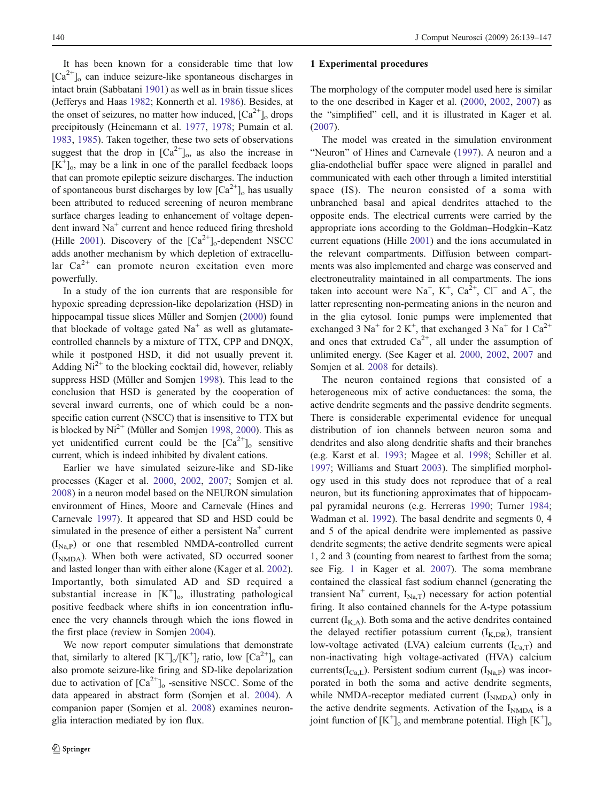<span id="page-2-0"></span>It has been known for a considerable time that low  $[Ca^{2+}]_o$  can induce seizure-like spontaneous discharges in intact brain (Sabbatani [1901\)](#page-9-0) as well as in brain tissue slices (Jefferys and Haas [1982](#page-8-0); Konnerth et al. [1986](#page-8-0)). Besides, at the onset of seizures, no matter how induced,  ${[Ca^{2+}]}_{0}$  drops precipitously (Heinemann et al. [1977,](#page-8-0) [1978;](#page-8-0) Pumain et al. [1983,](#page-9-0) [1985](#page-9-0)). Taken together, these two sets of observations suggest that the drop in  $[Ca^{2+}]_0$ , as also the increase in [K<sup>+</sup>]<sub>o</sub>, may be a link in one of the parallel feedback loops that can promote epileptic seizure discharges. The induction of spontaneous burst discharges by low  $\lceil Ca^{2+} \rceil_0$  has usually been attributed to reduced screening of neuron membrane surface charges leading to enhancement of voltage dependent inward  $Na<sup>+</sup>$  current and hence reduced firing threshold (Hille [2001\)](#page-8-0). Discovery of the  $[Ca^{2+}]_0$ -dependent NSCC adds another mechanism by which depletion of extracellular  $Ca^{2+}$  can promote neuron excitation even more powerfully.

In a study of the ion currents that are responsible for hypoxic spreading depression-like depolarization (HSD) in hippocampal tissue slices Müller and Somjen ([2000\)](#page-9-0) found that blockade of voltage gated  $Na<sup>+</sup>$  as well as glutamatecontrolled channels by a mixture of TTX, CPP and DNQX, while it postponed HSD, it did not usually prevent it. Adding  $Ni^{2+}$  to the blocking cocktail did, however, reliably suppress HSD (Müller and Somjen [1998](#page-9-0)). This lead to the conclusion that HSD is generated by the cooperation of several inward currents, one of which could be a nonspecific cation current (NSCC) that is insensitive to TTX but is blocked by  $Ni^{2+}$  (Müller and Somjen [1998](#page-9-0), [2000](#page-9-0)). This as yet unidentified current could be the  $[Ca^{2+}]_o$  sensitive current, which is indeed inhibited by divalent cations.

Earlier we have simulated seizure-like and SD-like processes (Kager et al. [2000](#page-8-0), [2002](#page-8-0), [2007;](#page-8-0) Somjen et al. [2008\)](#page-9-0) in a neuron model based on the NEURON simulation environment of Hines, Moore and Carnevale (Hines and Carnevale [1997](#page-8-0)). It appeared that SD and HSD could be simulated in the presence of either a persistent  $Na<sup>+</sup>$  current  $(I_{NaP})$  or one that resembled NMDA-controlled current (I<sub>NMDA</sub>). When both were activated, SD occurred sooner and lasted longer than with either alone (Kager et al. [2002](#page-8-0)). Importantly, both simulated AD and SD required a substantial increase in  $[K^+]_0$ , illustrating pathological positive feedback where shifts in ion concentration influence the very channels through which the ions flowed in the first place (review in Somjen [2004](#page-9-0)).

We now report computer simulations that demonstrate that, similarly to altered  $[K^+]_0/[K^+]_i$  ratio, low  $[Ca^{2+}]_0$  can also promote seizure-like firing and SD-like depolarization due to activation of  $[Ca^{2+}]_o$  -sensitive NSCC. Some of the data appeared in abstract form (Somjen et al. [2004](#page-9-0)). A companion paper (Somjen et al. [2008](#page-9-0)) examines neuronglia interaction mediated by ion flux.

#### 1 Experimental procedures

The morphology of the computer model used here is similar to the one described in Kager et al. ([2000](#page-8-0), [2002](#page-8-0), [2007](#page-8-0)) as the "simplified" cell, and it is illustrated in Kager et al. [\(2007](#page-8-0)).

The model was created in the simulation environment "Neuron" of Hines and Carnevale [\(1997](#page-8-0)). A neuron and a glia-endothelial buffer space were aligned in parallel and communicated with each other through a limited interstitial space (IS). The neuron consisted of a soma with unbranched basal and apical dendrites attached to the opposite ends. The electrical currents were carried by the appropriate ions according to the Goldman–Hodgkin–Katz current equations (Hille [2001](#page-8-0)) and the ions accumulated in the relevant compartments. Diffusion between compartments was also implemented and charge was conserved and electroneutrality maintained in all compartments. The ions taken into account were  $Na^+$ ,  $K^+$ ,  $Ca^{2+}$ ,  $Cl^-$  and  $A^-$ , the latter representing non-permeating anions in the neuron and in the glia cytosol. Ionic pumps were implemented that exchanged 3  $Na<sup>+</sup>$  for 2 K<sup>+</sup>, that exchanged 3  $Na<sup>+</sup>$  for 1  $Ca<sup>2+</sup>$ and ones that extruded  $Ca^{2+}$ , all under the assumption of unlimited energy. (See Kager et al. [2000,](#page-8-0) [2002,](#page-8-0) [2007](#page-8-0) and Somjen et al. [2008](#page-9-0) for details).

The neuron contained regions that consisted of a heterogeneous mix of active conductances: the soma, the active dendrite segments and the passive dendrite segments. There is considerable experimental evidence for unequal distribution of ion channels between neuron soma and dendrites and also along dendritic shafts and their branches (e.g. Karst et al. [1993;](#page-8-0) Magee et al. [1998;](#page-9-0) Schiller et al. [1997](#page-9-0); Williams and Stuart [2003](#page-9-0)). The simplified morphology used in this study does not reproduce that of a real neuron, but its functioning approximates that of hippocampal pyramidal neurons (e.g. Herreras [1990](#page-8-0); Turner [1984;](#page-9-0) Wadman et al. [1992\)](#page-9-0). The basal dendrite and segments 0, 4 and 5 of the apical dendrite were implemented as passive dendrite segments; the active dendrite segments were apical 1, 2 and 3 (counting from nearest to farthest from the soma; see Fig. [1](#page-3-0) in Kager et al. [2007\)](#page-8-0). The soma membrane contained the classical fast sodium channel (generating the transient Na<sup>+</sup> current,  $I_{Na,T}$ ) necessary for action potential firing. It also contained channels for the A-type potassium current  $(I_{K,A})$ . Both soma and the active dendrites contained the delayed rectifier potassium current  $(I_{K,DR})$ , transient low-voltage activated (LVA) calcium currents  $(I_{Ca,T})$  and non-inactivating high voltage-activated (HVA) calcium currents( $I_{Ca, L}$ ). Persistent sodium current ( $I_{Na, P}$ ) was incorporated in both the soma and active dendrite segments, while NMDA-receptor mediated current  $(I<sub>NMDA</sub>)$  only in the active dendrite segments. Activation of the  $I<sub>NMDA</sub>$  is a joint function of  $[K^+]_0$  and membrane potential. High  $[K^+]_0$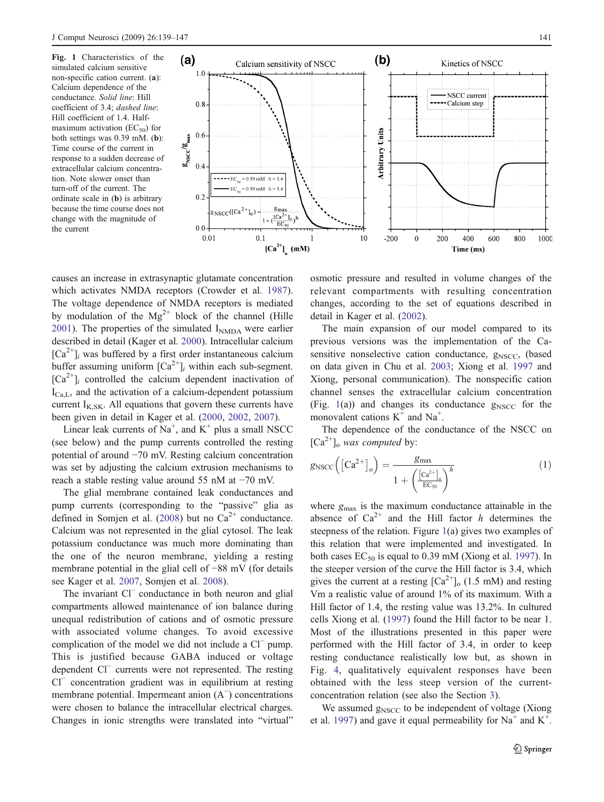<span id="page-3-0"></span>Fig. 1 Characteristics of the simulated calcium sensitive non-specific cation current. (a): Calcium dependence of the conductance. Solid line: Hill coefficient of 3.4; dashed line: Hill coefficient of 1.4. Halfmaximum activation ( $EC_{50}$ ) for both settings was 0.39 mM. (b): Time course of the current in response to a sudden decrease of extracellular calcium concentration. Note slower onset than turn-off of the current. The ordinate scale in (b) is arbitrary because the time course does not change with the magnitude of the current



causes an increase in extrasynaptic glutamate concentration which activates NMDA receptors (Crowder et al. [1987](#page-8-0)). The voltage dependence of NMDA receptors is mediated by modulation of the  $Mg^{2+}$  block of the channel (Hille [2001\)](#page-8-0). The properties of the simulated  $I<sub>NMDA</sub>$  were earlier described in detail (Kager et al. [2000\)](#page-8-0). Intracellular calcium  $[Ca^{2+}]$ <sub>i</sub> was buffered by a first order instantaneous calcium buffer assuming uniform  $\lceil Ca^{2+} \rceil$  within each sub-segment.  $[Ca^{2+}]_i$  controlled the calcium dependent inactivation of  $I_{Ca,L}$ , and the activation of a calcium-dependent potassium current  $I_{K,SK}$ . All equations that govern these currents have been given in detail in Kager et al. [\(2000](#page-8-0), [2002](#page-8-0), [2007\)](#page-8-0).

Linear leak currents of  $Na^+$ , and  $K^+$  plus a small NSCC (see below) and the pump currents controlled the resting potential of around −70 mV. Resting calcium concentration was set by adjusting the calcium extrusion mechanisms to reach a stable resting value around 55 nM at −70 mV.

The glial membrane contained leak conductances and pump currents (corresponding to the "passive" glia as defined in Somjen et al. [\(2008](#page-9-0)) but no  $Ca^{2+}$  conductance. Calcium was not represented in the glial cytosol. The leak potassium conductance was much more dominating than the one of the neuron membrane, yielding a resting membrane potential in the glial cell of −88 mV (for details see Kager et al. [2007](#page-8-0), Somjen et al. [2008\)](#page-9-0).

The invariant Cl<sup>−</sup> conductance in both neuron and glial compartments allowed maintenance of ion balance during unequal redistribution of cations and of osmotic pressure with associated volume changes. To avoid excessive complication of the model we did not include a Cl<sup>−</sup> pump. This is justified because GABA induced or voltage dependent Cl<sup>−</sup> currents were not represented. The resting Cl<sup>−</sup> concentration gradient was in equilibrium at resting membrane potential. Impermeant anion (A<sup>−</sup> ) concentrations were chosen to balance the intracellular electrical charges. Changes in ionic strengths were translated into "virtual"

osmotic pressure and resulted in volume changes of the relevant compartments with resulting concentration changes, according to the set of equations described in detail in Kager et al. [\(2002](#page-8-0)).

The main expansion of our model compared to its previous versions was the implementation of the Casensitive nonselective cation conductance,  $g_{\text{NSCC}}$ , (based on data given in Chu et al. [2003;](#page-8-0) Xiong et al. [1997](#page-9-0) and Xiong, personal communication). The nonspecific cation channel senses the extracellular calcium concentration (Fig. 1(a)) and changes its conductance  $g_{NSCC}$  for the monovalent cations  $K^+$  and  $Na^+$ .

The dependence of the conductance of the NSCC on  $[Ca^{2+}]_o$  was computed by:

$$
g_{\rm NSCC}\left(\left[Ca^{2+}\right]_{o}\right) = \frac{g_{\rm max}}{1 + \left(\frac{\left[Ca^{2+}\right]_{o}}{EC_{50}}\right)^{h}}
$$
(1)

where  $g_{\text{max}}$  is the maximum conductance attainable in the absence of  $Ca^{2+}$  and the Hill factor h determines the steepness of the relation. Figure 1(a) gives two examples of this relation that were implemented and investigated. In both cases  $EC_{50}$  is equal to 0.39 mM (Xiong et al. [1997\)](#page-9-0). In the steeper version of the curve the Hill factor is 3.4, which gives the current at a resting  $\left[Ca^{2+}\right]_0$  (1.5 mM) and resting Vm a realistic value of around 1% of its maximum. With a Hill factor of 1.4, the resting value was 13.2%. In cultured cells Xiong et al. [\(1997](#page-9-0)) found the Hill factor to be near 1. Most of the illustrations presented in this paper were performed with the Hill factor of 3.4, in order to keep resting conductance realistically low but, as shown in Fig. [4](#page-6-0), qualitatively equivalent responses have been obtained with the less steep version of the currentconcentration relation (see also the Section [3](#page-6-0)).

We assumed  $g_{\text{NSCC}}$  to be independent of voltage (Xiong et al. [1997\)](#page-9-0) and gave it equal permeability for  $Na^+$  and  $K^+$ .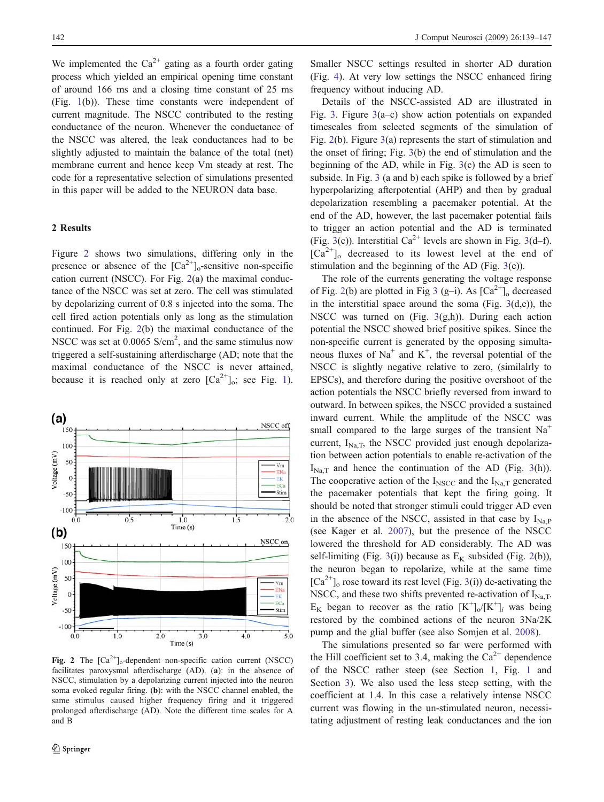<span id="page-4-0"></span>We implemented the  $Ca^{2+}$  gating as a fourth order gating process which yielded an empirical opening time constant of around 166 ms and a closing time constant of 25 ms (Fig. [1](#page-3-0)(b)). These time constants were independent of current magnitude. The NSCC contributed to the resting conductance of the neuron. Whenever the conductance of the NSCC was altered, the leak conductances had to be slightly adjusted to maintain the balance of the total (net) membrane current and hence keep Vm steady at rest. The code for a representative selection of simulations presented in this paper will be added to the NEURON data base.

#### 2 Results

Figure 2 shows two simulations, differing only in the presence or absence of the  ${[Ca}^{2+}]_o$ -sensitive non-specific cation current (NSCC). For Fig. 2(a) the maximal conductance of the NSCC was set at zero. The cell was stimulated by depolarizing current of 0.8 s injected into the soma. The cell fired action potentials only as long as the stimulation continued. For Fig. 2(b) the maximal conductance of the NSCC was set at 0.0065 S/cm<sup>2</sup>, and the same stimulus now triggered a self-sustaining afterdischarge (AD; note that the maximal conductance of the NSCC is never attained, because it is reached only at zero  $[Ca^{2+}]_0$ ; see Fig. [1](#page-3-0)).



Fig. 2 The  $[Ca^{2+}]\_$ -dependent non-specific cation current (NSCC) facilitates paroxysmal afterdischarge (AD). (a): in the absence of NSCC, stimulation by a depolarizing current injected into the neuron soma evoked regular firing. (b): with the NSCC channel enabled, the same stimulus caused higher frequency firing and it triggered prolonged afterdischarge (AD). Note the different time scales for A and B

Smaller NSCC settings resulted in shorter AD duration (Fig. [4](#page-6-0)). At very low settings the NSCC enhanced firing frequency without inducing AD.

Details of the NSCC-assisted AD are illustrated in Fig. [3.](#page-5-0) Figure [3](#page-5-0)(a–c) show action potentials on expanded timescales from selected segments of the simulation of Fig. 2(b). Figure [3](#page-5-0)(a) represents the start of stimulation and the onset of firing; Fig. [3](#page-5-0)(b) the end of stimulation and the beginning of the AD, while in Fig. [3\(](#page-5-0)c) the AD is seen to subside. In Fig. [3](#page-5-0) (a and b) each spike is followed by a brief hyperpolarizing afterpotential (AHP) and then by gradual depolarization resembling a pacemaker potential. At the end of the AD, however, the last pacemaker potential fails to trigger an action potential and the AD is terminated (Fig. [3](#page-5-0)(c)). Interstitial Ca<sup>2+</sup> levels are shown in Fig. 3(d–f).  $[Ca^{2+}]_o$  decreased to its lowest level at the end of stimulation and the beginning of the AD (Fig. [3\(](#page-5-0)e)).

The role of the currents generating the voltage response of Fig. 2(b) are plotted in Fig [3](#page-5-0) (g-i). As  $\lbrack Ca^{2+}\rbrack_0$  decreased in the interstitial space around the soma (Fig.  $3(d,e)$  $3(d,e)$ ), the NSCC was turned on (Fig.  $3(g,h)$  $3(g,h)$ ). During each action potential the NSCC showed brief positive spikes. Since the non-specific current is generated by the opposing simultaneous fluxes of  $Na<sup>+</sup>$  and  $K<sup>+</sup>$ , the reversal potential of the NSCC is slightly negative relative to zero, (similalrly to EPSCs), and therefore during the positive overshoot of the action potentials the NSCC briefly reversed from inward to outward. In between spikes, the NSCC provided a sustained inward current. While the amplitude of the NSCC was small compared to the large surges of the transient  $Na<sup>+</sup>$ current,  $I_{\text{Na},T}$ , the NSCC provided just enough depolarization between action potentials to enable re-activation of the  $I_{\text{Na,T}}$  and hence the continuation of the AD (Fig. [3](#page-5-0)(h)). The cooperative action of the  $I_{\text{NSCC}}$  and the  $I_{\text{Na,T}}$  generated the pacemaker potentials that kept the firing going. It should be noted that stronger stimuli could trigger AD even in the absence of the NSCC, assisted in that case by  $I_{Na.P}$ (see Kager et al. [2007\)](#page-8-0), but the presence of the NSCC lowered the threshold for AD considerably. The AD was self-limiting (Fig. [3](#page-5-0)(i)) because as  $E_K$  subsided (Fig. 2(b)), the neuron began to repolarize, while at the same time  $[Ca^{2+}]_o$  rose toward its rest level (Fig. [3](#page-5-0)(i)) de-activating the NSCC, and these two shifts prevented re-activation of  $I_{Na,T}$ .  $E_K$  began to recover as the ratio  $[K^+]_0/[K^+]_i$  was being restored by the combined actions of the neuron 3Na/2K pump and the glial buffer (see also Somjen et al. [2008](#page-9-0)).

The simulations presented so far were performed with the Hill coefficient set to 3.4, making the  $Ca^{2+}$  dependence of the NSCC rather steep (see Section [1,](#page-2-0) Fig. [1](#page-3-0) and Section [3](#page-6-0)). We also used the less steep setting, with the coefficient at 1.4. In this case a relatively intense NSCC current was flowing in the un-stimulated neuron, necessitating adjustment of resting leak conductances and the ion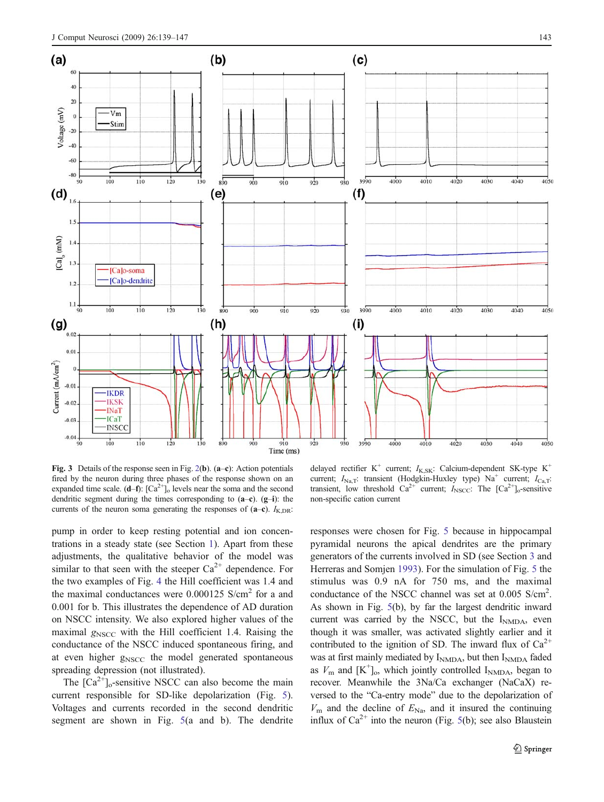<span id="page-5-0"></span>

Fig. 3 Details of the response seen in Fig. [2\(](#page-4-0)b).  $(a-c)$ : Action potentials fired by the neuron during three phases of the response shown on an expanded time scale.  $(d-f)$ :  $[Ca^{2+}]_o$  levels near the soma and the second dendritic segment during the times corresponding to  $(a-c)$ .  $(g-i)$ : the currents of the neuron soma generating the responses of  $(a-c)$ .  $I_{K,DR}$ :

delayed rectifier K<sup>+</sup> current;  $I_{K,SK}$ : Calcium-dependent SK-type K<sup>+</sup> current;  $I_{\text{Na},T}$ : transient (Hodgkin-Huxley type) Na<sup>+</sup> current;  $I_{\text{Ca},T}$ : transient, low threshold  $Ca^{2+}$  current;  $I_{NSCC}$ : The  $[Ca^{2+}]_0$ -sensitive non-specific cation current

pump in order to keep resting potential and ion concentrations in a steady state (see Section [1\)](#page-2-0). Apart from these adjustments, the qualitative behavior of the model was similar to that seen with the steeper  $Ca^{2+}$  dependence. For the two examples of Fig. [4](#page-6-0) the Hill coefficient was 1.4 and the maximal conductances were  $0.000125$  S/cm<sup>2</sup> for a and 0.001 for b. This illustrates the dependence of AD duration on NSCC intensity. We also explored higher values of the maximal  $g_{\text{NSCC}}$  with the Hill coefficient 1.4. Raising the conductance of the NSCC induced spontaneous firing, and at even higher  $g<sub>NSCC</sub>$  the model generated spontaneous spreading depression (not illustrated).

The  $\lceil Ca^{2+} \rceil_0$ -sensitive NSCC can also become the main current responsible for SD-like depolarization (Fig. [5](#page-6-0)). Voltages and currents recorded in the second dendritic segment are shown in Fig. [5\(](#page-6-0)a and b). The dendrite

responses were chosen for Fig. [5](#page-6-0) because in hippocampal pyramidal neurons the apical dendrites are the primary generators of the currents involved in SD (see Section [3](#page-6-0) and Herreras and Somjen [1993](#page-8-0)). For the simulation of Fig. [5](#page-6-0) the stimulus was 0.9 nA for 750 ms, and the maximal conductance of the NSCC channel was set at 0.005 S/cm<sup>2</sup>. As shown in Fig. [5\(](#page-6-0)b), by far the largest dendritic inward current was carried by the NSCC, but the INMDA, even though it was smaller, was activated slightly earlier and it contributed to the ignition of SD. The inward flux of  $Ca^{2+}$ was at first mainly mediated by  $I_{\text{NMDA}}$ , but then  $I_{\text{NMDA}}$  faded as  $V_{\text{m}}$  and  $[K^+]_0$ , which jointly controlled  $I_{\text{NMDA}}$ , began to recover. Meanwhile the 3Na/Ca exchanger (NaCaX) reversed to the "Ca-entry mode" due to the depolarization of  $V_{\rm m}$  and the decline of  $E_{\rm Na}$ , and it insured the continuing influx of  $Ca^{2+}$  into the neuron (Fig. [5](#page-6-0)(b); see also Blaustein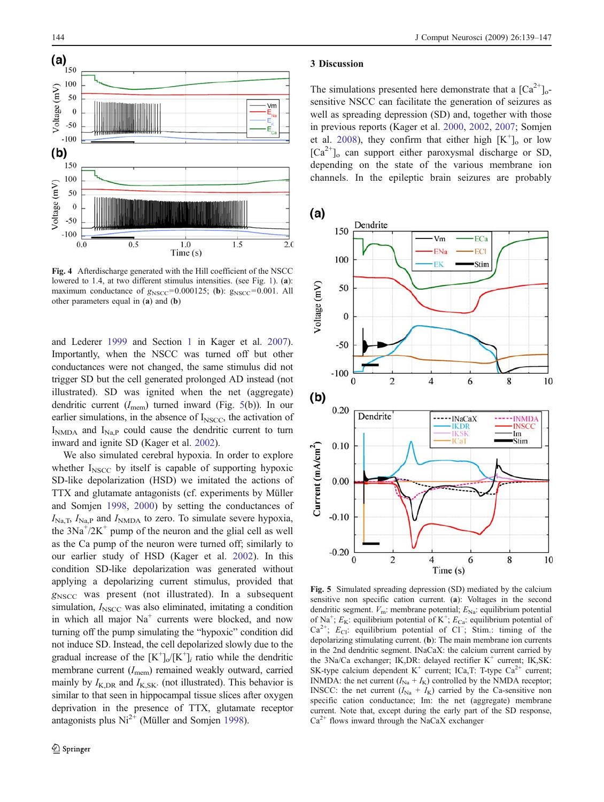<span id="page-6-0"></span>

Fig. 4 Afterdischarge generated with the Hill coefficient of the NSCC lowered to [1](#page-3-0).4, at two different stimulus intensities. (see Fig. 1), (a): maximum conductance of  $g_{\text{NSCC}}=0.000125$ ; (b):  $g_{\text{NSCC}}=0.001$ . All other parameters equal in (a) and (b)

and Lederer [1999](#page-8-0) and Section [1](#page-2-0) in Kager et al. [2007\)](#page-8-0). Importantly, when the NSCC was turned off but other conductances were not changed, the same stimulus did not trigger SD but the cell generated prolonged AD instead (not illustrated). SD was ignited when the net (aggregate) dendritic current  $(I_{\text{mem}})$  turned inward (Fig. 5(b)). In our earlier simulations, in the absence of  $I<sub>NSCC</sub>$ , the activation of  $I<sub>NMDA</sub>$  and  $I<sub>Na.P</sub>$  could cause the dendritic current to turn inward and ignite SD (Kager et al. [2002\)](#page-8-0).

We also simulated cerebral hypoxia. In order to explore whether  $I<sub>NSCC</sub>$  by itself is capable of supporting hypoxic SD-like depolarization (HSD) we imitated the actions of TTX and glutamate antagonists (cf. experiments by Müller and Somjen [1998](#page-9-0), [2000](#page-9-0)) by setting the conductances of  $I_{\text{Na},\text{T}}$ ,  $I_{\text{Na},\text{P}}$  and  $I_{\text{NMDA}}$  to zero. To simulate severe hypoxia, the  $3Na^{+}/2K^{+}$  pump of the neuron and the glial cell as well as the Ca pump of the neuron were turned off; similarly to our earlier study of HSD (Kager et al. [2002\)](#page-8-0). In this condition SD-like depolarization was generated without applying a depolarizing current stimulus, provided that  $g<sub>NSCC</sub>$  was present (not illustrated). In a subsequent simulation,  $I_{\text{NSCC}}$  was also eliminated, imitating a condition in which all major  $Na<sup>+</sup>$  currents were blocked, and now turning off the pump simulating the "hypoxic" condition did not induce SD. Instead, the cell depolarized slowly due to the gradual increase of the  $[K^+]_0/[K^+]_i$  ratio while the dendritic membrane current  $(I_{\text{mem}})$  remained weakly outward, carried mainly by  $I_{K,DR}$  and  $I_{K,SK}$ . (not illustrated). This behavior is similar to that seen in hippocampal tissue slices after oxygen deprivation in the presence of TTX, glutamate receptor antagonists plus  $Ni^{2+}$  (Müller and Somjen [1998](#page-9-0)).

#### 3 Discussion

The simulations presented here demonstrate that a  $\lbrack Ca^{2+}\rbrack _{0}$ sensitive NSCC can facilitate the generation of seizures as well as spreading depression (SD) and, together with those in previous reports (Kager et al. [2000](#page-8-0), [2002,](#page-8-0) [2007](#page-8-0); Somjen et al. [2008](#page-9-0)), they confirm that either high  $[K^+]_0$  or low  $[Ca^{2+}]_o$  can support either paroxysmal discharge or SD, depending on the state of the various membrane ion channels. In the epileptic brain seizures are probably



Fig. 5 Simulated spreading depression (SD) mediated by the calcium sensitive non specific cation current. (a): Voltages in the second dendritic segment.  $V_m$ : membrane potential;  $E_{\text{Na}}$ : equilibrium potential of Na<sup>+</sup>;  $E_K$ : equilibrium potential of K<sup>+</sup>;  $E_{Ca}$ : equilibrium potential of Ca<sup>2+</sup>;  $E_{Cl}$ : equilibrium potential of Cl<sup>-</sup>; Stim.: timing of the depolarizing stimulating current. (b): The main membrane ion currents in the 2nd dendritic segment. INaCaX: the calcium current carried by the 3Na/Ca exchanger; IK,DR: delayed rectifier  $K^+$  current; IK,SK: SK-type calcium dependent K<sup>+</sup> current; ICa,T: T-type  $Ca^{2+}$  current; INMDA: the net current  $(I_{\text{Na}} + I_{\text{K}})$  controlled by the NMDA receptor; INSCC: the net current  $(I_{\text{Na}} + I_{\text{K}})$  carried by the Ca-sensitive non specific cation conductance; Im: the net (aggregate) membrane current. Note that, except during the early part of the SD response,  $Ca<sup>2+</sup>$  flows inward through the NaCaX exchanger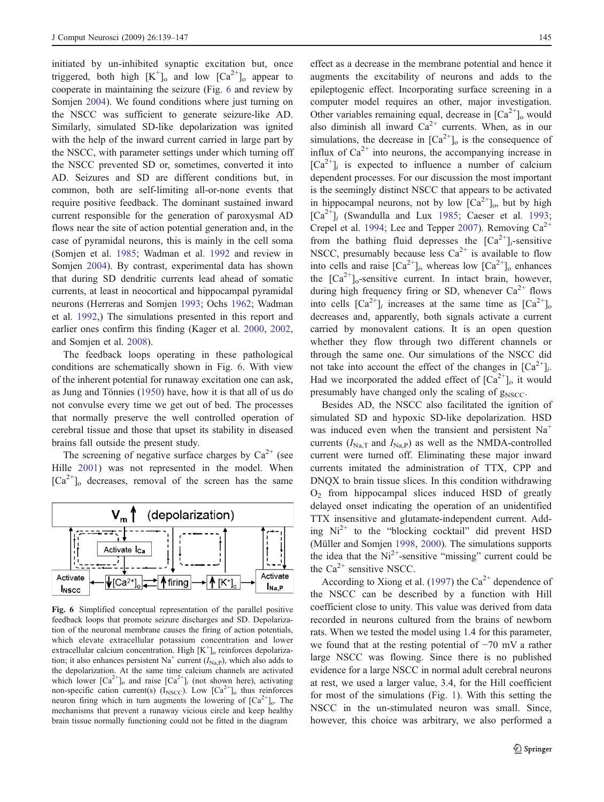initiated by un-inhibited synaptic excitation but, once triggered, both high  $[K^+]_0$  and low  $[Ca^{2+}]_0$  appear to cooperate in maintaining the seizure (Fig. 6 and review by Somien [2004\)](#page-9-0). We found conditions where just turning on the NSCC was sufficient to generate seizure-like AD. Similarly, simulated SD-like depolarization was ignited with the help of the inward current carried in large part by the NSCC, with parameter settings under which turning off the NSCC prevented SD or, sometimes, converted it into AD. Seizures and SD are different conditions but, in common, both are self-limiting all-or-none events that require positive feedback. The dominant sustained inward current responsible for the generation of paroxysmal AD flows near the site of action potential generation and, in the case of pyramidal neurons, this is mainly in the cell soma (Somjen et al. [1985;](#page-9-0) Wadman et al. [1992](#page-9-0) and review in Somjen [2004\)](#page-9-0). By contrast, experimental data has shown that during SD dendritic currents lead ahead of somatic currents, at least in neocortical and hippocampal pyramidal neurons (Herreras and Somjen [1993;](#page-8-0) Ochs [1962;](#page-9-0) Wadman et al. [1992,](#page-9-0)) The simulations presented in this report and earlier ones confirm this finding (Kager et al. [2000,](#page-8-0) [2002,](#page-8-0) and Somjen et al. [2008](#page-9-0)).

The feedback loops operating in these pathological conditions are schematically shown in Fig. 6. With view of the inherent potential for runaway excitation one can ask, as Jung and Tönnies ([1950\)](#page-8-0) have, how it is that all of us do not convulse every time we get out of bed. The processes that normally preserve the well controlled operation of cerebral tissue and those that upset its stability in diseased brains fall outside the present study.

The screening of negative surface charges by  $Ca^{2+}$  (see Hille [2001](#page-8-0)) was not represented in the model. When  $[Ca^{2+}]_o$  decreases, removal of the screen has the same



Fig. 6 Simplified conceptual representation of the parallel positive feedback loops that promote seizure discharges and SD. Depolarization of the neuronal membrane causes the firing of action potentials, which elevate extracellular potassium concentration and lower extracellular calcium concentration. High [K<sup>+</sup>]<sub>o</sub> reinforces depolarization; it also enhances persistent Na<sup>+</sup> current  $(I_{\text{Na,P}})$ , which also adds to the depolarization. At the same time calcium channels are activated which lower  $[Ca^{2+}]_o$  and raise  $[Ca^{2+}]_i$  (not shown here), activating non-specific cation current(s) ( $I_{\text{NSCC}}$ ). Low  $\left[Ca^{2+}\right]$ <sub>o</sub> thus reinforces neuron firing which in turn augments the lowering of  $[Ca^{2+}]$ <sub>o</sub>. The mechanisms that prevent a runaway vicious circle and keep healthy brain tissue normally functioning could not be fitted in the diagram

effect as a decrease in the membrane potential and hence it augments the excitability of neurons and adds to the epileptogenic effect. Incorporating surface screening in a computer model requires an other, major investigation. Other variables remaining equal, decrease in  $[Ca^{2+}]_o$  would also diminish all inward  $Ca^{2+}$  currents. When, as in our simulations, the decrease in  $[Ca^{2+}]_o$  is the consequence of influx of  $Ca^{2+}$  into neurons, the accompanying increase in  $[Ca^{2+}]_i$  is expected to influence a number of calcium dependent processes. For our discussion the most important is the seemingly distinct NSCC that appears to be activated in hippocampal neurons, not by low  $[Ca^{2+}]_0$ , but by high  $[Ca^{2+}]$ <sub>i</sub> (Swandulla and Lux [1985](#page-9-0); Caeser et al. [1993;](#page-8-0) Crepel et al. [1994](#page-8-0); Lee and Tepper [2007\)](#page-8-0). Removing  $Ca^{2+}$ from the bathing fluid depresses the  $[Ca^{2+}]_i$ -sensitive NSCC, presumably because less  $Ca^{2+}$  is available to flow into cells and raise  $[Ca^{2+}]$ <sub>i</sub>, whereas low  $[Ca^{2+}]$ <sub>o</sub> enhances the  $[Ca^{2+}]_o$ -sensitive current. In intact brain, however, during high frequency firing or SD, whenever  $Ca^{2+}$  flows into cells  $[Ca^{2+}]_i$  increases at the same time as  $[Ca^{2+}]_o$ decreases and, apparently, both signals activate a current carried by monovalent cations. It is an open question whether they flow through two different channels or through the same one. Our simulations of the NSCC did not take into account the effect of the changes in  $[Ca^{2+}]i$ . Had we incorporated the added effect of  $[Ca^{2+}]_i$ , it would presumably have changed only the scaling of  $g_{\text{NSCC}}$ .

Besides AD, the NSCC also facilitated the ignition of simulated SD and hypoxic SD-like depolarization. HSD was induced even when the transient and persistent  $Na<sup>+</sup>$ currents  $(I_{\text{Na-T}}$  and  $I_{\text{Na-P}}$ ) as well as the NMDA-controlled current were turned off. Eliminating these major inward currents imitated the administration of TTX, CPP and DNQX to brain tissue slices. In this condition withdrawing  $O<sub>2</sub>$  from hippocampal slices induced HSD of greatly delayed onset indicating the operation of an unidentified TTX insensitive and glutamate-independent current. Adding  $Ni^{2+}$  to the "blocking cocktail" did prevent HSD (Müller and Somjen [1998,](#page-9-0) [2000](#page-9-0)). The simulations supports the idea that the  $Ni<sup>2+</sup>$ -sensitive "missing" current could be the  $Ca^{2+}$  sensitive NSCC.

According to Xiong et al. ([1997\)](#page-9-0) the  $Ca^{2+}$  dependence of the NSCC can be described by a function with Hill coefficient close to unity. This value was derived from data recorded in neurons cultured from the brains of newborn rats. When we tested the model using 1.4 for this parameter, we found that at the resting potential of −70 mV a rather large NSCC was flowing. Since there is no published evidence for a large NSCC in normal adult cerebral neurons at rest, we used a larger value, 3.4, for the Hill coefficient for most of the simulations (Fig. [1](#page-3-0)). With this setting the NSCC in the un-stimulated neuron was small. Since, however, this choice was arbitrary, we also performed a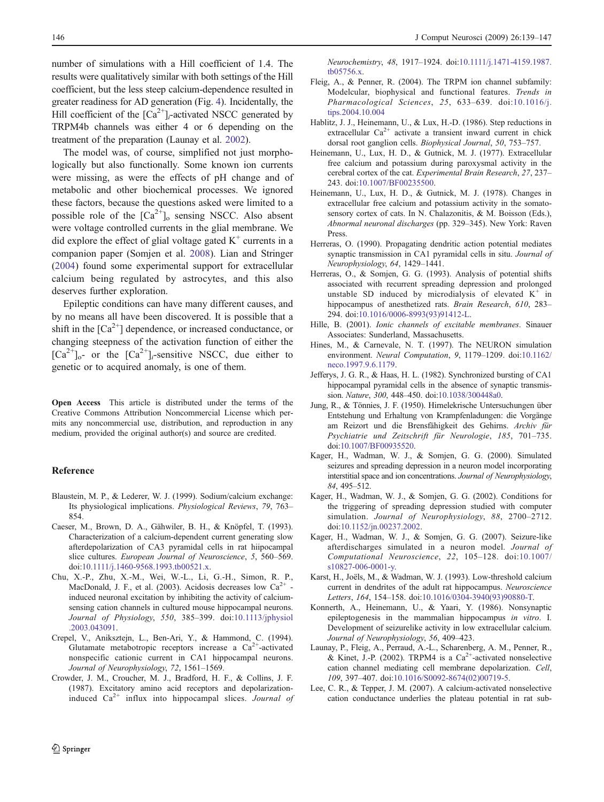<span id="page-8-0"></span>number of simulations with a Hill coefficient of 1.4. The results were qualitatively similar with both settings of the Hill coefficient, but the less steep calcium-dependence resulted in greater readiness for AD generation (Fig. [4\)](#page-6-0). Incidentally, the Hill coefficient of the  $\lceil Ca^{2+} \rceil$ <sub>i</sub>-activated NSCC generated by TRPM4b channels was either 4 or 6 depending on the treatment of the preparation (Launay et al. 2002).

The model was, of course, simplified not just morphologically but also functionally. Some known ion currents were missing, as were the effects of pH change and of metabolic and other biochemical processes. We ignored these factors, because the questions asked were limited to a possible role of the  $[Ca^{2+}]_o$  sensing NSCC. Also absent were voltage controlled currents in the glial membrane. We did explore the effect of glial voltage gated  $K^+$  currents in a companion paper (Somjen et al. [2008](#page-9-0)). Lian and Stringer [\(2004](#page-9-0)) found some experimental support for extracellular calcium being regulated by astrocytes, and this also deserves further exploration.

Epileptic conditions can have many different causes, and by no means all have been discovered. It is possible that a shift in the  $\lceil Ca^{2+} \rceil$  dependence, or increased conductance, or changing steepness of the activation function of either the  $[Ca^{2+}]_{o}$ - or the  $[Ca^{2+}]_{i}$ -sensitive NSCC, due either to genetic or to acquired anomaly, is one of them.

Open Access This article is distributed under the terms of the Creative Commons Attribution Noncommercial License which permits any noncommercial use, distribution, and reproduction in any medium, provided the original author(s) and source are credited.

#### Reference

- Blaustein, M. P., & Lederer, W. J. (1999). Sodium/calcium exchange: Its physiological implications. Physiological Reviews, 79, 763– 854.
- Caeser, M., Brown, D. A., Gähwiler, B. H., & Knöpfel, T. (1993). Characterization of a calcium-dependent current generating slow afterdepolarization of CA3 pyramidal cells in rat hiipocampal slice cultures. European Journal of Neuroscience, 5, 560–569. doi[:10.1111/j.1460-9568.1993.tb00521.x](http://dx.doi.org/10.1111/j.1460-9568.1993.tb00521.x).
- Chu, X.-P., Zhu, X.-M., Wei, W.-L., Li, G.-H., Simon, R. P., MacDonald, J. F., et al. (2003). Acidosis decreases low  $Ca<sup>2+</sup>$ induced neuronal excitation by inhibiting the activity of calciumsensing cation channels in cultured mouse hippocampal neurons. Journal of Physiology, 550, 385–399. doi:[10.1113/jphysiol](http://dx.doi.org/10.1113/jphysiol.2003.043091) [.2003.043091](http://dx.doi.org/10.1113/jphysiol.2003.043091).
- Crepel, V., Aniksztejn, L., Ben-Ari, Y., & Hammond, C. (1994). Glutamate metabotropic receptors increase a  $Ca<sup>2+</sup>$ -activated nonspecific cationic current in CA1 hippocampal neurons. Journal of Neurophysiology, 72, 1561–1569.
- Crowder, J. M., Croucher, M. J., Bradford, H. F., & Collins, J. F. (1987). Excitatory amino acid receptors and depolarizationinduced  $Ca^{2+}$  influx into hippocampal slices. Journal of

Neurochemistry, 48, 1917–1924. doi[:10.1111/j.1471-4159.1987.](http://dx.doi.org/10.1111/j.1471-4159.1987.tb05756.x) [tb05756.x](http://dx.doi.org/10.1111/j.1471-4159.1987.tb05756.x).

- Fleig, A., & Penner, R. (2004). The TRPM ion channel subfamily: Modelcular, biophysical and functional features. Trends in Pharmacological Sciences, 25, 633–639. doi[:10.1016/j.](http://dx.doi.org/10.1016/j.tips.2004.10.004) [tips.2004.10.004](http://dx.doi.org/10.1016/j.tips.2004.10.004)
- Hablitz, J. J., Heinemann, U., & Lux, H.-D. (1986). Step reductions in extracellular  $Ca^{2+}$  activate a transient inward current in chick dorsal root ganglion cells. Biophysical Journal, 50, 753–757.
- Heinemann, U., Lux, H. D., & Gutnick, M. J. (1977). Extracellular free calcium and potassium during paroxysmal activity in the cerebral cortex of the cat. Experimental Brain Research, 27, 237– 243. doi:[10.1007/BF00235500.](http://dx.doi.org/10.1007/BF00235500)
- Heinemann, U., Lux, H. D., & Gutnick, M. J. (1978). Changes in extracellular free calcium and potassium activity in the somatosensory cortex of cats. In N. Chalazonitis, & M. Boisson (Eds.), Abnormal neuronal discharges (pp. 329–345). New York: Raven Press.
- Herreras, O. (1990). Propagating dendritic action potential mediates synaptic transmission in CA1 pyramidal cells in situ. Journal of Neurophysiology, 64, 1429–1441.
- Herreras, O., & Somjen, G. G. (1993). Analysis of potential shifts associated with recurrent spreading depression and prolonged unstable SD induced by microdialysis of elevated  $K^+$  in hippocampus of anesthetized rats. Brain Research, 610, 283-294. doi:[10.1016/0006-8993\(93\)91412-L](http://dx.doi.org/10.1016/0006-8993(93)91412-L).
- Hille, B. (2001). Ionic channels of excitable membranes. Sinauer Associates: Sunderland, Massachusetts.
- Hines, M., & Carnevale, N. T. (1997). The NEURON simulation environment. Neural Computation, 9, 1179–1209. doi:[10.1162/](http://dx.doi.org/10.1162/neco.1997.9.6.1179) [neco.1997.9.6.1179.](http://dx.doi.org/10.1162/neco.1997.9.6.1179)
- Jefferys, J. G. R., & Haas, H. L. (1982). Synchronized bursting of CA1 hippocampal pyramidal cells in the absence of synaptic transmission. Nature, 300, 448–450. doi[:10.1038/300448a0](http://dx.doi.org/10.1038/300448a0).
- Jung, R., & Tönnies, J. F. (1950). Hirnelekrische Untersuchungen über Entstehung und Erhaltung von Krampfenladungen: die Vorgänge am Reizort und die Brensfähigkeit des Gehirns. Archiv für Psychiatrie und Zeitschrift für Neurologie, 185, 701–735. doi:[10.1007/BF00935520.](http://dx.doi.org/10.1007/BF00935520)
- Kager, H., Wadman, W. J., & Somjen, G. G. (2000). Simulated seizures and spreading depression in a neuron model incorporating interstitial space and ion concentrations. Journal of Neurophysiology, 84, 495–512.
- Kager, H., Wadman, W. J., & Somjen, G. G. (2002). Conditions for the triggering of spreading depression studied with computer simulation. Journal of Neurophysiology, 88, 2700-2712. doi[:10.1152/jn.00237.2002.](http://dx.doi.org/10.1152/jn.00237.2002)
- Kager, H., Wadman, W. J., & Somjen, G. G. (2007). Seizure-like afterdischarges simulated in a neuron model. Journal of Computational Neuroscience, 22, 105–128. doi:[10.1007/](http://dx.doi.org/10.1007/s10827-006-0001-y) [s10827-006-0001-y.](http://dx.doi.org/10.1007/s10827-006-0001-y)
- Karst, H., Joëls, M., & Wadman, W. J. (1993). Low-threshold calcium current in dendrites of the adult rat hippocampus. Neuroscience Letters, 164, 154–158. doi[:10.1016/0304-3940\(93\)90880-T.](http://dx.doi.org/10.1016/0304-3940(93)90880-T)
- Konnerth, A., Heinemann, U., & Yaari, Y. (1986). Nonsynaptic epileptogenesis in the mammalian hippocampus in vitro. I. Development of seizurelike activity in low extracellular calcium. Journal of Neurophysiology, 56, 409–423.
- Launay, P., Fleig, A., Perraud, A.-L., Scharenberg, A. M., Penner, R., & Kinet, J.-P. (2002). TRPM4 is a  $Ca^{2+}$ -activated nonselective cation channel mediating cell membrane depolarization. Cell, 109, 397–407. doi[:10.1016/S0092-8674\(02\)00719-5.](http://dx.doi.org/10.1016/S0092-8674(02)00719-5)
- Lee, C. R., & Tepper, J. M. (2007). A calcium-activated nonselective cation conductance underlies the plateau potential in rat sub-